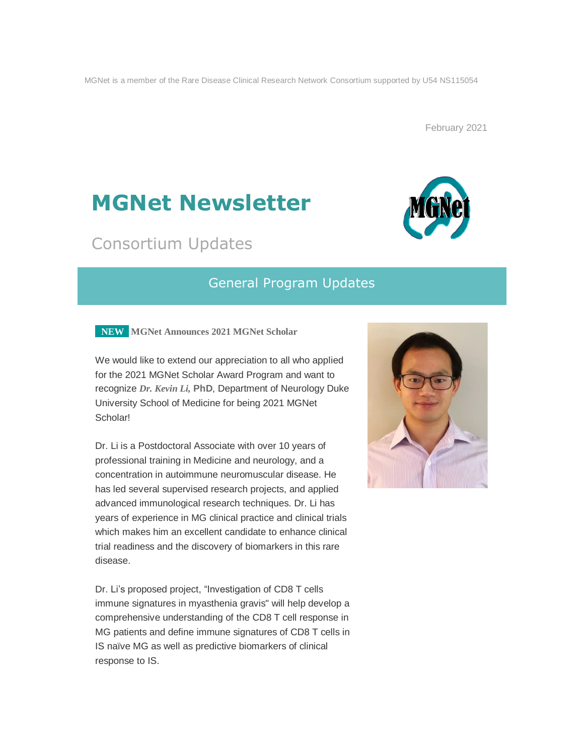MGNet is a member of the Rare Disease Clinical Research Network Consortium supported by U54 NS115054

February 2021

# **MGNet Newsletter**

## Consortium Updates

## General Program Updates

**NEW MGNet Announces 2021 MGNet Scholar**

We would like to extend our appreciation to all who applied for the 2021 MGNet Scholar Award Program and want to recognize *Dr. Kevin Li,* **PhD**, Department of Neurology Duke University School of Medicine for being 2021 MGNet Scholar!

Dr. Li is a Postdoctoral Associate with over 10 years of professional training in Medicine and neurology, and a concentration in autoimmune neuromuscular disease. He has led several supervised research projects, and applied advanced immunological research techniques. Dr. Li has years of experience in MG clinical practice and clinical trials which makes him an excellent candidate to enhance clinical trial readiness and the discovery of biomarkers in this rare disease.

Dr. Li's proposed project, "Investigation of CD8 T cells immune signatures in myasthenia gravis" will help develop a comprehensive understanding of the CD8 T cell response in MG patients and define immune signatures of CD8 T cells in IS naïve MG as well as predictive biomarkers of clinical response to IS.



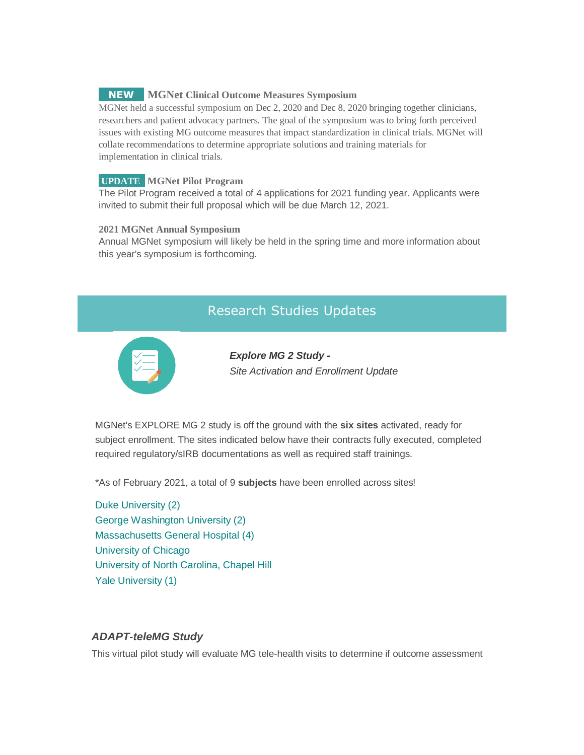### **NEW MGNet Clinical Outcome Measures Symposium**

MGNet held a successful symposium on Dec 2, 2020 and Dec 8, 2020 bringing together clinicians, researchers and patient advocacy partners. The goal of the symposium was to bring forth perceived issues with existing MG outcome measures that impact standardization in clinical trials. MGNet will collate recommendations to determine appropriate solutions and training materials for implementation in clinical trials.

#### **UPDATE MGNet Pilot Program**

The Pilot Program received a total of 4 applications for 2021 funding year. Applicants were invited to submit their full proposal which will be due March 12, 2021.

#### **2021 MGNet Annual Symposium**

Annual MGNet symposium will likely be held in the spring time and more information about this year's symposium is forthcoming.

## Research Studies Updates



*Explore MG 2 Study - Site Activation and Enrollment Update*

MGNet's EXPLORE MG 2 study is off the ground with the **six sites** activated, ready for subject enrollment. The sites indicated below have their contracts fully executed, completed required regulatory/sIRB documentations as well as required staff trainings.

\*As of February 2021, a total of 9 **subjects** have been enrolled across sites!

Duke University (2) George Washington University (2) Massachusetts General Hospital (4) University of Chicago University of North Carolina, Chapel Hill Yale University (1)

#### *ADAPT-teleMG Study*

This virtual pilot study will evaluate MG tele-health visits to determine if outcome assessment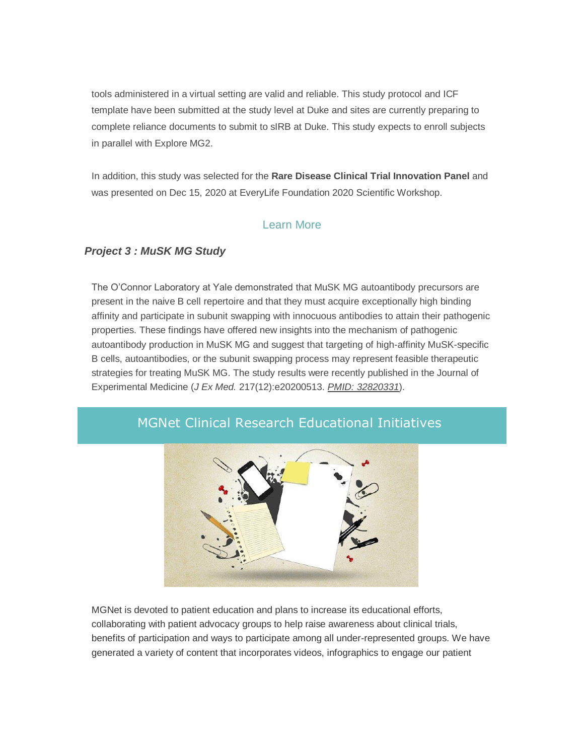tools administered in a virtual setting are valid and reliable. This study protocol and ICF template have been submitted at the study level at Duke and sites are currently preparing to complete reliance documents to submit to sIRB at Duke. This study expects to enroll subjects in parallel with Explore MG2.

In addition, this study was selected for the **Rare Disease Clinical Trial Innovation Panel** and was presented on Dec 15, 2020 at EveryLife Foundation 2020 Scientific Workshop.

## [Learn](https://everylifefoundation.org/events-schedule/scientific-workshop/) More

## *Project 3 : MuSK MG Study*

The O'Connor Laboratory at Yale demonstrated that MuSK MG autoantibody precursors are present in the naive B cell repertoire and that they must acquire exceptionally high binding affinity and participate in subunit swapping with innocuous antibodies to attain their pathogenic properties. These findings have offered new insights into the mechanism of pathogenic autoantibody production in MuSK MG and suggest that targeting of high-affinity MuSK-specific B cells, autoantibodies, or the subunit swapping process may represent feasible therapeutic strategies for treating MuSK MG. The study results were recently published in the Journal of Experimental Medicine (*J Ex Med.* 217(12):e20200513. *PMID: [32820331](https://pubmed.ncbi.nlm.nih.gov/32820331/)*).



## MGNet Clinical Research Educational Initiatives

MGNet is devoted to patient education and plans to increase its educational efforts, collaborating with patient advocacy groups to help raise awareness about clinical trials, benefits of participation and ways to participate among all under-represented groups. We have generated a variety of content that incorporates videos, infographics to engage our patient